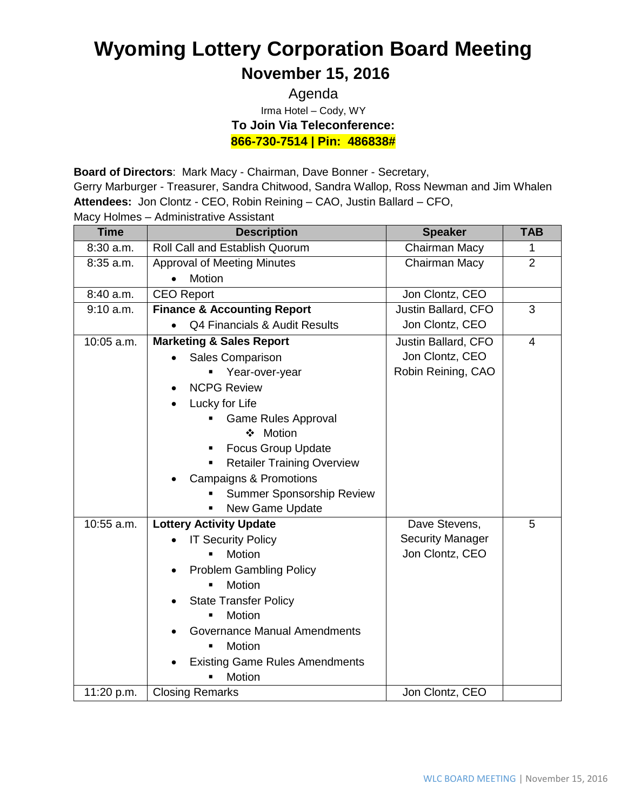## **Wyoming Lottery Corporation Board Meeting November 15, 2016**

## Agenda Irma Hotel – Cody, WY **To Join Via Teleconference: 866-730-7514 | Pin: 486838#**

**Board of Directors**: Mark Macy - Chairman, Dave Bonner - Secretary,

Gerry Marburger - Treasurer, Sandra Chitwood, Sandra Wallop, Ross Newman and Jim Whalen **Attendees:** Jon Clontz - CEO, Robin Reining – CAO, Justin Ballard – CFO,

Macy Holmes – Administrative Assistant

| <b>Time</b> | <b>Description</b>                     | <b>Speaker</b>          | <b>TAB</b>     |
|-------------|----------------------------------------|-------------------------|----------------|
| 8:30 a.m.   | Roll Call and Establish Quorum         | Chairman Macy           | 1              |
| 8:35 a.m.   | <b>Approval of Meeting Minutes</b>     | Chairman Macy           | $\overline{2}$ |
|             | <b>Motion</b><br>$\bullet$             |                         |                |
| 8:40 a.m.   | <b>CEO Report</b>                      | Jon Clontz, CEO         |                |
| 9:10 a.m.   | <b>Finance &amp; Accounting Report</b> | Justin Ballard, CFO     | 3              |
|             | Q4 Financials & Audit Results          | Jon Clontz, CEO         |                |
| 10:05 a.m.  | <b>Marketing &amp; Sales Report</b>    | Justin Ballard, CFO     | $\overline{4}$ |
|             | <b>Sales Comparison</b>                | Jon Clontz, CEO         |                |
|             | Year-over-year                         | Robin Reining, CAO      |                |
|             | <b>NCPG Review</b>                     |                         |                |
|             | Lucky for Life                         |                         |                |
|             | <b>Game Rules Approval</b>             |                         |                |
|             | ❖ Motion                               |                         |                |
|             | <b>Focus Group Update</b>              |                         |                |
|             | <b>Retailer Training Overview</b>      |                         |                |
|             | <b>Campaigns &amp; Promotions</b>      |                         |                |
|             | Summer Sponsorship Review              |                         |                |
|             | New Game Update<br>$\blacksquare$      |                         |                |
| 10:55 a.m.  | <b>Lottery Activity Update</b>         | Dave Stevens,           | 5              |
|             | <b>IT Security Policy</b>              | <b>Security Manager</b> |                |
|             | <b>Motion</b>                          | Jon Clontz, CEO         |                |
|             | <b>Problem Gambling Policy</b>         |                         |                |
|             | Motion<br>$\blacksquare$               |                         |                |
|             | <b>State Transfer Policy</b>           |                         |                |
|             | Motion                                 |                         |                |
|             | Governance Manual Amendments           |                         |                |
|             | Motion<br>$\blacksquare$               |                         |                |
|             | <b>Existing Game Rules Amendments</b>  |                         |                |
|             | Motion                                 |                         |                |
| 11:20 p.m.  | <b>Closing Remarks</b>                 | Jon Clontz, CEO         |                |